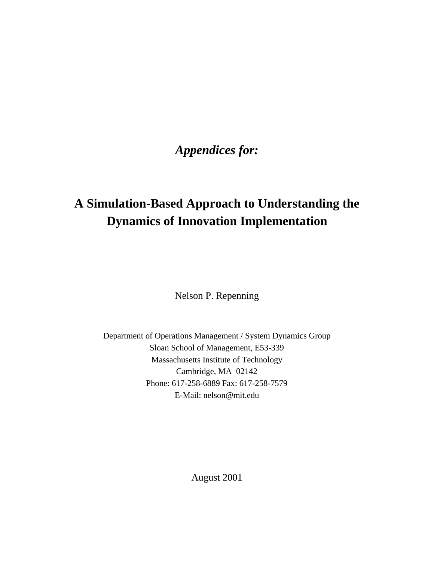# *Appendices for:*

# **A Simulation-Based Approach to Understanding the Dynamics of Innovation Implementation**

Nelson P. Repenning

Department of Operations Management / System Dynamics Group Sloan School of Management, E53-339 Massachusetts Institute of Technology Cambridge, MA 02142 Phone: 617-258-6889 Fax: 617-258-7579 E-Mail: nelson@mit.edu

August 2001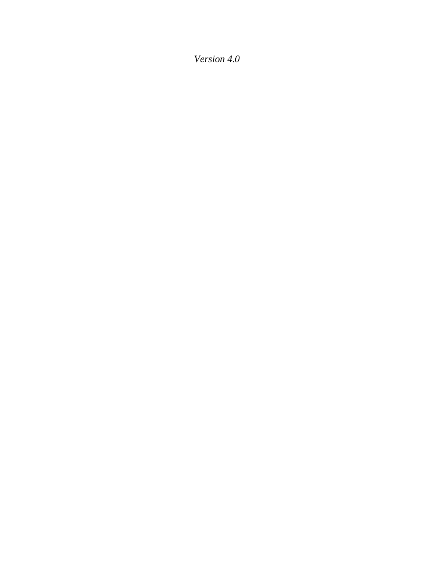*Version 4.0*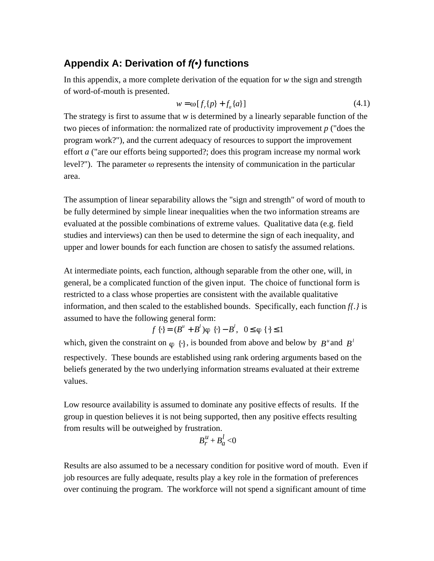## **Appendix A: Derivation of** *f(•)* **functions**

In this appendix, a more complete derivation of the equation for *w* the sign and strength of word-of-mouth is presented.

$$
w = \omega[f_r(p) + f_a\{a\}] \tag{4.1}
$$

The strategy is first to assume that *w* is determined by a linearly separable function of the two pieces of information: the normalized rate of productivity improvement *p* ("does the program work?"), and the current adequacy of resources to support the improvement effort *a* ("are our efforts being supported?; does this program increase my normal work level?"). The parameter  $\omega$  represents the intensity of communication in the particular area.

The assumption of linear separability allows the "sign and strength" of word of mouth to be fully determined by simple linear inequalities when the two information streams are evaluated at the possible combinations of extreme values. Qualitative data (e.g. field studies and interviews) can then be used to determine the sign of each inequality, and upper and lower bounds for each function are chosen to satisfy the assumed relations.

At intermediate points, each function, although separable from the other one, will, in general, be a complicated function of the given input. The choice of functional form is restricted to a class whose properties are consistent with the available qualitative information, and then scaled to the established bounds. Specifically, each function *f{.}* is assumed to have the following general form:

$$
f\{\} = (B^u + B^l)\varphi\{\} - B^l, 0 \varphi\{\}\ 1
$$

which, given the constraint on  $\varphi$  { }, is bounded from above and below by *B*<sup>*u*</sup> and *B*<sup>*l*</sup> respectively. These bounds are established using rank ordering arguments based on the beliefs generated by the two underlying information streams evaluated at their extreme values.

Low resource availability is assumed to dominate any positive effects of results. If the group in question believes it is not being supported, then any positive effects resulting from results will be outweighed by frustration.

$$
B_r^u + B_a^l < 0
$$

Results are also assumed to be a necessary condition for positive word of mouth. Even if job resources are fully adequate, results play a key role in the formation of preferences over continuing the program. The workforce will not spend a significant amount of time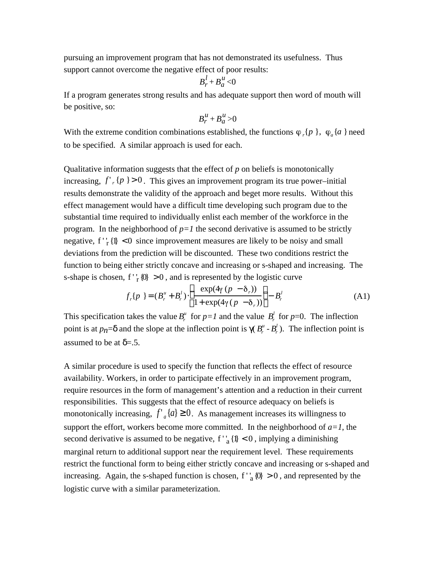pursuing an improvement program that has not demonstrated its usefulness. Thus support cannot overcome the negative effect of poor results:

$$
B_r^l + B_a^u < 0
$$

If a program generates strong results and has adequate support then word of mouth will be positive, so:

$$
B_t^u + B_a^u > 0
$$

With the extreme condition combinations established, the functions  $\varphi_r\{p\}$ ,  $\varphi_a\{a\}$  need to be specified. A similar approach is used for each.

Qualitative information suggests that the effect of *p* on beliefs is monotonically increasing,  $f'$   $_r$  { $p$  } > 0 . This gives an improvement program its true power–initial results demonstrate the validity of the approach and beget more results. Without this effect management would have a difficult time developing such program due to the substantial time required to individually enlist each member of the workforce in the program. In the neighborhood of  $p=1$  the second derivative is assumed to be strictly negative,  $f'_{r}$ {l} < 0 since improvement measures are likely to be noisy and small deviations from the prediction will be discounted. These two conditions restrict the function to being either strictly concave and increasing or s-shaped and increasing. The s-shape is chosen,  $f'_{r}$  {0} > 0, and is represented by the logistic curve

$$
f_r\{p\} = (B_r^u + B_r^l) \frac{\exp(4\gamma (p - \delta_r))}{1 + \exp(4\gamma (p - \delta_r))} - B_r^l
$$
 (A1)

This specification takes the value  $B_r^u$  for  $p=1$  and the value  $B_r^l$  for  $p=0$ . The inflection point is at  $p_n$  = and the slope at the inflection point is  $(B_r^u - B_r^l)$ . The inflection point is assumed to be at  $= .5$ .

A similar procedure is used to specify the function that reflects the effect of resource availability. Workers, in order to participate effectively in an improvement program, require resources in the form of management's attention and a reduction in their current responsibilities. This suggests that the effect of resource adequacy on beliefs is monotonically increasing,  $f'_{a} \{a\}$  0. As management increases its willingness to support the effort, workers become more committed. In the neighborhood of  $a=1$ , the second derivative is assumed to be negative,  $f'_{a} \{1\} < 0$ , implying a diminishing marginal return to additional support near the requirement level. These requirements restrict the functional form to being either strictly concave and increasing or s-shaped and increasing. Again, the s-shaped function is chosen, f'<sub>a</sub> $\{0\} > 0$ , and represented by the logistic curve with a similar parameterization.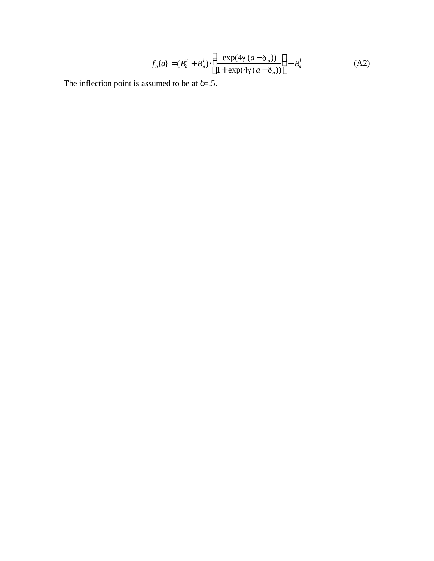$$
f_a\{a\} = (B_a^u + B_a^l) \quad \frac{\exp(4\gamma (a - \delta_a))}{1 + \exp(4\gamma (a - \delta_a))} \quad -B_a^l \tag{A2}
$$

The inflection point is assumed to be at  $= .5$ .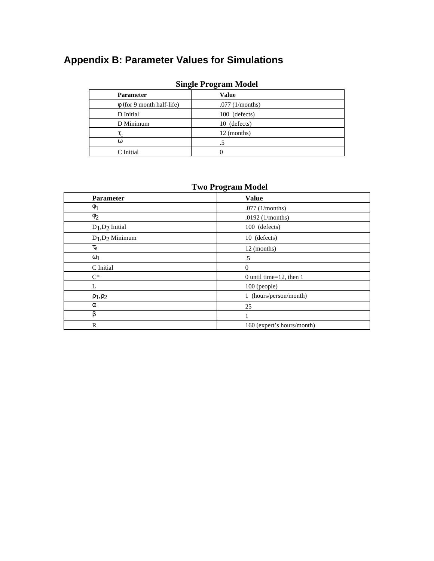# **Appendix B: Parameter Values for Simulations**

| $_{\rm{OIII}$ gic 1 1 0 gi ann $_{\rm{N10}}$ act |  |  |
|--------------------------------------------------|--|--|
| Value                                            |  |  |
| $.077$ (1/months)                                |  |  |
| 100 (defects)                                    |  |  |
| 10 (defects)                                     |  |  |
| 12 (months)                                      |  |  |
| د.                                               |  |  |
|                                                  |  |  |
|                                                  |  |  |

### **Single Program Model**

### **Two Program Model**

| <b>Parameter</b>      | <b>Value</b>                |
|-----------------------|-----------------------------|
|                       | $.077$ (1/months)           |
| 2                     | .0192 $(1/months)$          |
| $D_1$ , $D_2$ Initial | 100 (defects)               |
| $D_1$ , $D_2$ Minimum | 10 (defects)                |
|                       | 12 (months)                 |
|                       | .5                          |
| C Initial             | $\Omega$                    |
| $C^*$                 | 0 until time= $12$ , then 1 |
| L                     | 100 (people)                |
| 1, 2                  | 1 (hours/person/month)      |
|                       | 25                          |
|                       |                             |
| $\mathbb{R}$          | 160 (expert's hours/month)  |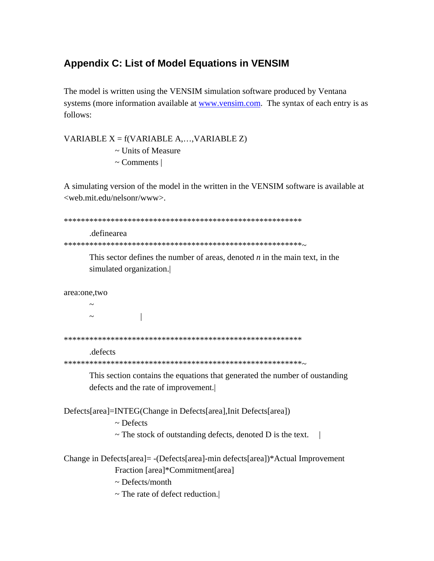## **Appendix C: List of Model Equations in VENSIM**

The model is written using the VENSIM simulation software produced by Ventana systems (more information available at www.vensim.com. The syntax of each entry is as follows:

VARIABLE  $X = f(VARIABLE A, ..., VARIABLE Z)$  $\sim$  Units of Measure  $\sim$  Comments |

A simulating version of the model in the written in the VENSIM software is available at <web.mit.edu/nelsonr/www>.

```
.definearea
```
This sector defines the number of areas, denoted  $n$  in the main text, in the simulated organization.

```
area:one,two
```
 $\overline{\phantom{a}}$  $\sim$ 

#### .defects

This section contains the equations that generated the number of oustanding defects and the rate of improvement.

Defects[area]=INTEG(Change in Defects[area], Init Defects[area])

 $\sim$  Defects

 $\sim$  The stock of outstanding defects, denoted D is the text.

```
Change in Defects[area]= -(Defects[area]-min defects[area])*Actual Improvement
 Fraction [area]*Commitment[area]
```
 $\sim$  Defects/month

 $\sim$  The rate of defect reduction.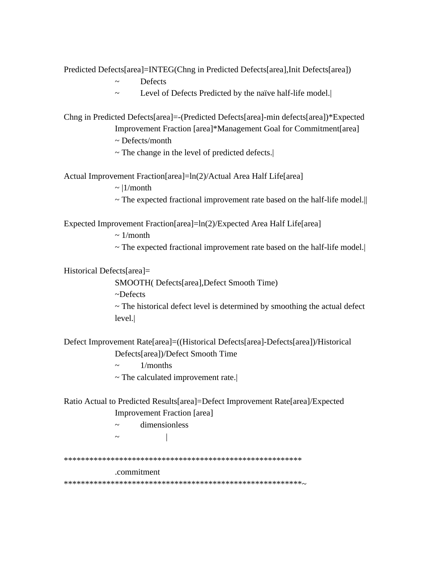Predicted Defects[area]=INTEG(Chng in Predicted Defects[area],Init Defects[area])

- ~ Defects
- ~ Level of Defects Predicted by the naïve half-life model.|

Chng in Predicted Defects[area]=-(Predicted Defects[area]-min defects[area])\*Expected Improvement Fraction [area]\*Management Goal for Commitment[area]

~ Defects/month

 $\sim$  The change in the level of predicted defects.

Actual Improvement Fraction[area]=ln(2)/Actual Area Half Life[area]

 $\sim$  |1/month

 $\sim$  The expected fractional improvement rate based on the half-life model.

Expected Improvement Fraction[area]=ln(2)/Expected Area Half Life[area]

 $\sim 1/m$ onth

~ The expected fractional improvement rate based on the half-life model.|

Historical Defects[area]=

SMOOTH( Defects[area],Defect Smooth Time)

~Defects

 $\sim$  The historical defect level is determined by smoothing the actual defect level.|

Defect Improvement Rate[area]=((Historical Defects[area]-Defects[area])/Historical Defects[area])/Defect Smooth Time

- $\sim$  1/months
- ~ The calculated improvement rate.|

Ratio Actual to Predicted Results[area]=Defect Improvement Rate[area]/Expected

Improvement Fraction [area]

~ dimensionless

 $\sim$   $\qquad$   $\qquad$ 

\*\*\*\*\*\*\*\*\*\*\*\*\*\*\*\*\*\*\*\*\*\*\*\*\*\*\*\*\*\*\*\*\*\*\*\*\*\*\*\*\*\*\*\*\*\*\*\*\*\*\*\*\*\*\*\*

### .commitment

\*\*\*\*\*\*\*\*\*\*\*\*\*\*\*\*\*\*\*\*\*\*\*\*\*\*\*\*\*\*\*\*\*\*\*\*\*\*\*\*\*\*\*\*\*\*\*\*\*\*\*\*\*\*\*\*~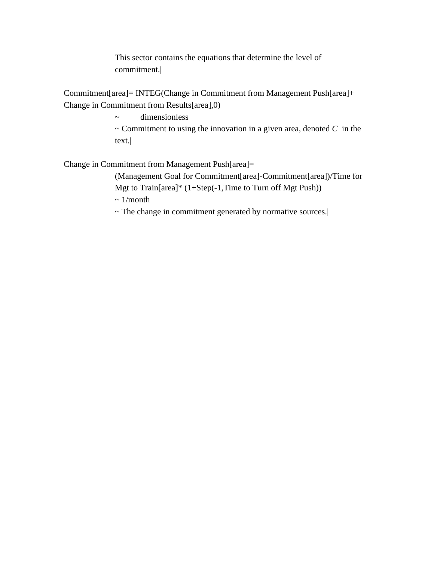This sector contains the equations that determine the level of commitment.|

Commitment[area]= INTEG(Change in Commitment from Management Push[area]+ Change in Commitment from Results[area],0)

> ~ dimensionless  $\sim$  Commitment to using the innovation in a given area, denoted  $C$  in the text.|

Change in Commitment from Management Push[area]=

(Management Goal for Commitment[area]-Commitment[area])/Time for Mgt to Train[area]\* (1+Step(-1,Time to Turn off Mgt Push))

 $\sim 1/m$ onth

~ The change in commitment generated by normative sources.|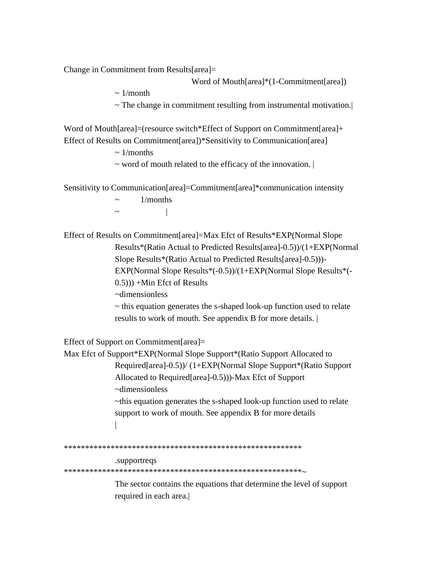Change in Commitment from Results[area]=

Word of Mouth[area]\*(1-Commitment[area])

 $\sim 1/month$ 

 $\sim$  The change in commitment resulting from instrumental motivation.

Word of Mouth[area]=(resource switch\*Effect of Support on Commitment[area]+ Effect of Results on Commitment[area])\*Sensitivity to Communication[area]

 $\sim 1$ /months

 $\sim$  word of mouth related to the efficacy of the innovation.

Sensitivity to Communication[area]=Commitment[area]\*communication intensity

 $1/months$  $\overline{1}$ 

 $\sim$ 

Effect of Results on Commitment[area]=Max Efct of Results\*EXP(Normal Slope Results\*(Ratio Actual to Predicted Results[area]-0.5))/(1+EXP(Normal Slope Results\*(Ratio Actual to Predicted Results[area]-0.5)))-EXP(Normal Slope Results\*(-0.5))/(1+EXP(Normal Slope Results\*(- $(0.5))$  +Min Efct of Results

~dimensionless

 $\sim$  this equation generates the s-shaped look-up function used to relate results to work of mouth. See appendix B for more details.

Effect of Support on Commitment [ $\text{area}$ ]=

```
Max Efct of Support*EXP(Normal Slope Support*(Ratio Support Allocated to
Required [area]-0.5))/ (1+EXP(Normal Slope Support*(Ratio Support)
Allocated to Required [area]-0.5)))-Max Efct of Support
\simdimensionless
~this equation generates the s-shaped look-up function used to relate
support to work of mouth. See appendix B for more details
\perp
```
#### .supportreqs

The sector contains the equations that determine the level of support required in each area.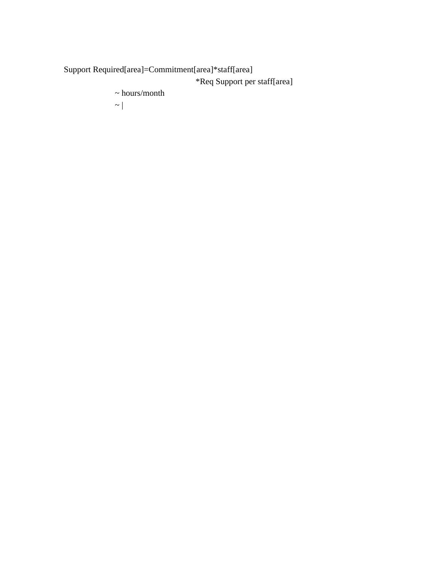Support Required[area]=Commitment[area]\*staff[area] \*Req Support per staff[area]

 $\sim$  hours/month

 $\sim$  |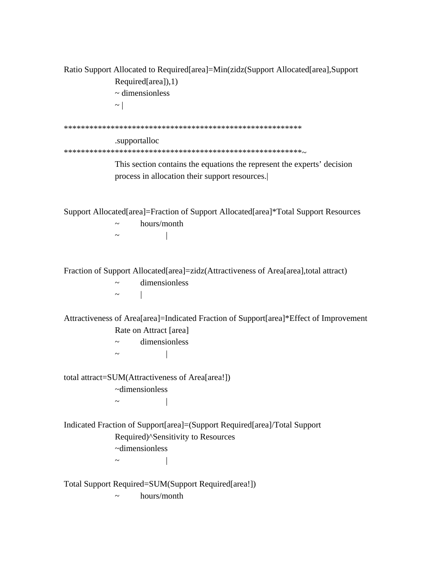Ratio Support Allocated to Required[area]=Min(zidz(Support Allocated[area],Support Required[area]),1) ~ dimensionless  $\sim$  | \*\*\*\*\*\*\*\*\*\*\*\*\*\*\*\*\*\*\*\*\*\*\*\*\*\*\*\*\*\*\*\*\*\*\*\*\*\*\*\*\*\*\*\*\*\*\*\*\*\*\*\*\*\*\*\* .supportalloc \*\*\*\*\*\*\*\*\*\*\*\*\*\*\*\*\*\*\*\*\*\*\*\*\*\*\*\*\*\*\*\*\*\*\*\*\*\*\*\*\*\*\*\*\*\*\*\*\*\*\*\*\*\*\*\*~ This section contains the equations the represent the experts' decision process in allocation their support resources.| Support Allocated[area]=Fraction of Support Allocated[area]\*Total Support Resources  $\sim$  hours/month  $\sim$   $\qquad$   $\qquad$ Fraction of Support Allocated[area]=zidz(Attractiveness of Area[area],total attract)  $\sim$  dimensionless  $\sim$  | Attractiveness of Area[area]=Indicated Fraction of Support[area]\*Effect of Improvement Rate on Attract [area] ~ dimensionless  $\sim$   $\qquad$   $\qquad$ total attract=SUM(Attractiveness of Area[area!]) ~dimensionless  $\sim$   $\qquad$   $\qquad$ Indicated Fraction of Support[area]=(Support Required[area]/Total Support Required)^Sensitivity to Resources ~dimensionless  $\sim$   $\qquad$   $\qquad$ Total Support Required=SUM(Support Required[area!])

 $\sim$  hours/month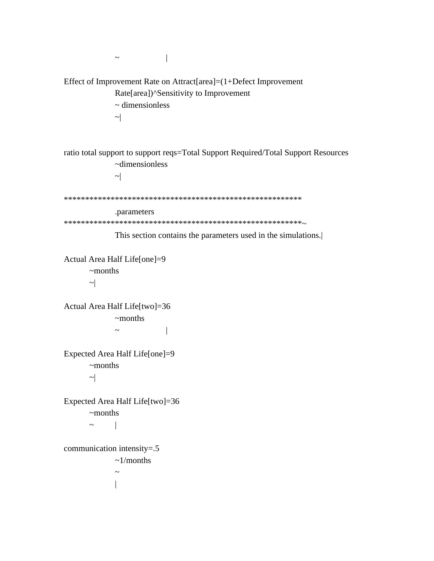$\sim$   $\sim$   $\sim$   $\sim$   $\sim$ Effect of Improvement Rate on Attract[area]=(1+Defect Improvement Rate[area])^Sensitivity to Improvement ~ dimensionless  $\sim$ ratio total support to support reqs=Total Support Required/Total Support Resources ~dimensionless  $\sim$ \*\*\*\*\*\*\*\*\*\*\*\*\*\*\*\*\*\*\*\*\*\*\*\*\*\*\*\*\*\*\*\*\*\*\*\*\*\*\*\*\*\*\*\*\*\*\*\*\*\*\*\*\*\*\*\* .parameters \*\*\*\*\*\*\*\*\*\*\*\*\*\*\*\*\*\*\*\*\*\*\*\*\*\*\*\*\*\*\*\*\*\*\*\*\*\*\*\*\*\*\*\*\*\*\*\*\*\*\*\*\*\*\*\*~ This section contains the parameters used in the simulations.| Actual Area Half Life[one]=9 ~months  $\sim$ Actual Area Half Life[two]=36 ~months  $\sim$   $\qquad$   $\qquad$ Expected Area Half Life[one]=9 ~months  $\sim$ Expected Area Half Life[two]=36 ~months  $\sim$  | communication intensity=.5  $\sim$ 1/months  $\sim$  $\overline{a}$ |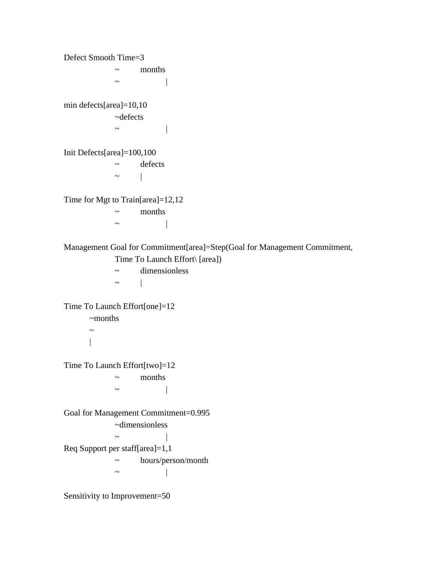Defect Smooth Time=3  $\sim$  months  $\sim$   $\qquad$   $\qquad$ min defects[area]=10,10 ~defects  $\sim$   $\qquad$   $\qquad$   $\qquad$   $\qquad$ Init Defects[area]=100,100 ~ defects  $\sim$  | Time for Mgt to Train[area]=12,12 ~ months  $\sim$   $\sim$   $\sim$   $\sim$   $\sim$ Management Goal for Commitment[area]=Step(Goal for Management Commitment, Time To Launch Effort\ [area])  $\sim$  dimensionless  $\sim$  | Time To Launch Effort[one]=12 ~months  $\sim$ | Time To Launch Effort[two]=12 ~ months  $\sim$   $\qquad$   $\qquad$ Goal for Management Commitment=0.995 ~dimensionless  $\sim$   $\qquad$   $\qquad$ Req Support per staff[area]=1,1 ~ hours/person/month  $\sim$   $\qquad$   $\qquad$ Sensitivity to Improvement=50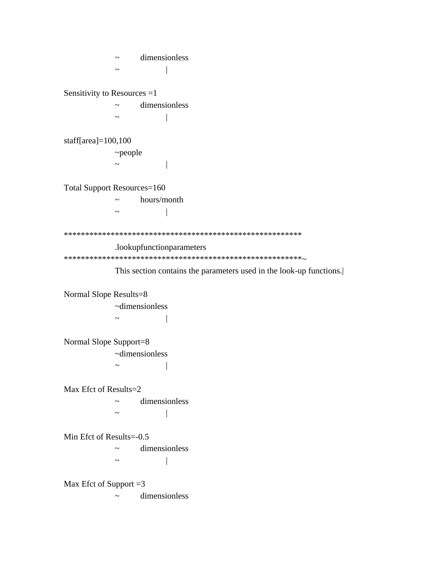~ dimensionless  $\sim$   $\qquad$   $\qquad$ Sensitivity to Resources =1 ~ dimensionless  $\sim$   $\qquad$   $\qquad$ staff[area]=100,100 ~people  $\sim$   $\qquad$   $\qquad$   $\qquad$ Total Support Resources=160  $\sim$  hours/month  $\sim$   $\qquad$   $\qquad$ \*\*\*\*\*\*\*\*\*\*\*\*\*\*\*\*\*\*\*\*\*\*\*\*\*\*\*\*\*\*\*\*\*\*\*\*\*\*\*\*\*\*\*\*\*\*\*\*\*\*\*\*\*\*\*\* .lookupfunctionparameters \*\*\*\*\*\*\*\*\*\*\*\*\*\*\*\*\*\*\*\*\*\*\*\*\*\*\*\*\*\*\*\*\*\*\*\*\*\*\*\*\*\*\*\*\*\*\*\*\*\*\*\*\*\*\*\*~ This section contains the parameters used in the look-up functions.| Normal Slope Results=8 ~dimensionless  $\sim$  | Normal Slope Support=8 ~dimensionless  $\sim$  | Max Efct of Results=2 ~ dimensionless  $\sim$   $\sim$   $\sim$   $\sim$   $\sim$ Min Efct of Results=-0.5 ~ dimensionless  $\sim$   $\qquad$   $\qquad$ Max Efct of Support  $=3$ ~ dimensionless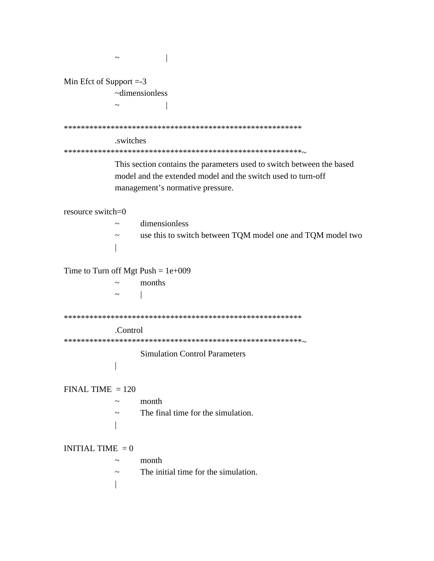| Min Efct of Support $= -3$           |                                 |                                                                                                                                                                           |  |  |
|--------------------------------------|---------------------------------|---------------------------------------------------------------------------------------------------------------------------------------------------------------------------|--|--|
|                                      | $\nightharpoonup$ dimensionless |                                                                                                                                                                           |  |  |
|                                      |                                 |                                                                                                                                                                           |  |  |
|                                      |                                 |                                                                                                                                                                           |  |  |
|                                      | .switches                       |                                                                                                                                                                           |  |  |
|                                      |                                 |                                                                                                                                                                           |  |  |
|                                      |                                 | This section contains the parameters used to switch between the based<br>model and the extended model and the switch used to turn-off<br>management's normative pressure. |  |  |
| resource switch=0                    |                                 |                                                                                                                                                                           |  |  |
|                                      |                                 | dimensionless                                                                                                                                                             |  |  |
|                                      |                                 | use this to switch between TQM model one and TQM model two                                                                                                                |  |  |
|                                      |                                 |                                                                                                                                                                           |  |  |
|                                      |                                 |                                                                                                                                                                           |  |  |
| Time to Turn off Mgt Push = $1e+009$ |                                 |                                                                                                                                                                           |  |  |
|                                      |                                 | months                                                                                                                                                                    |  |  |
|                                      |                                 |                                                                                                                                                                           |  |  |
|                                      |                                 |                                                                                                                                                                           |  |  |
|                                      | .Control                        |                                                                                                                                                                           |  |  |
|                                      |                                 |                                                                                                                                                                           |  |  |
|                                      |                                 | <b>Simulation Control Parameters</b>                                                                                                                                      |  |  |
|                                      |                                 |                                                                                                                                                                           |  |  |
|                                      |                                 |                                                                                                                                                                           |  |  |
| $FINAL TIME = 120$                   |                                 |                                                                                                                                                                           |  |  |
|                                      |                                 | month                                                                                                                                                                     |  |  |
|                                      | $\tilde{\phantom{a}}$           | The final time for the simulation.                                                                                                                                        |  |  |
|                                      |                                 |                                                                                                                                                                           |  |  |
|                                      |                                 |                                                                                                                                                                           |  |  |
| INITIAL TIME $= 0$                   |                                 |                                                                                                                                                                           |  |  |
|                                      |                                 | month                                                                                                                                                                     |  |  |
|                                      | $\tilde{\phantom{a}}$           | The initial time for the simulation.                                                                                                                                      |  |  |
|                                      |                                 |                                                                                                                                                                           |  |  |
|                                      |                                 |                                                                                                                                                                           |  |  |